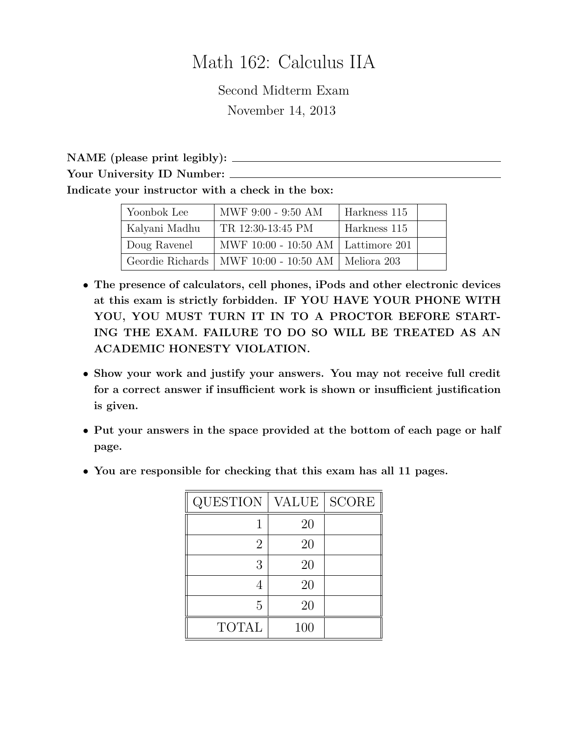## Math 162: Calculus IIA

Second Midterm Exam November 14, 2013

NAME (please print legibly): Your University ID Number: Indicate your instructor with a check in the box:

| Yoonbok Lee   | MWF 9:00 - 9:50 AM                                    | Harkness 115 |  |
|---------------|-------------------------------------------------------|--------------|--|
| Kalyani Madhu | TR 12:30-13:45 PM                                     | Harkness 115 |  |
| Doug Ravenel  | MWF 10:00 - 10:50 AM   Lattimore 201                  |              |  |
|               | Geordie Richards   MWF 10:00 - 10:50 AM   Meliora 203 |              |  |

- The presence of calculators, cell phones, iPods and other electronic devices at this exam is strictly forbidden. IF YOU HAVE YOUR PHONE WITH YOU, YOU MUST TURN IT IN TO A PROCTOR BEFORE START-ING THE EXAM. FAILURE TO DO SO WILL BE TREATED AS AN ACADEMIC HONESTY VIOLATION.
- Show your work and justify your answers. You may not receive full credit for a correct answer if insufficient work is shown or insufficient justification is given.
- Put your answers in the space provided at the bottom of each page or half page.
- You are responsible for checking that this exam has all 11 pages.

| <b>QUESTION</b> | <b>VALUE</b> | <b>SCORE</b> |
|-----------------|--------------|--------------|
|                 | 20           |              |
| 2               | 20           |              |
| 3               | 20           |              |
|                 | 20           |              |
| 5               | 20           |              |
| <b>TOTAL</b>    | 100          |              |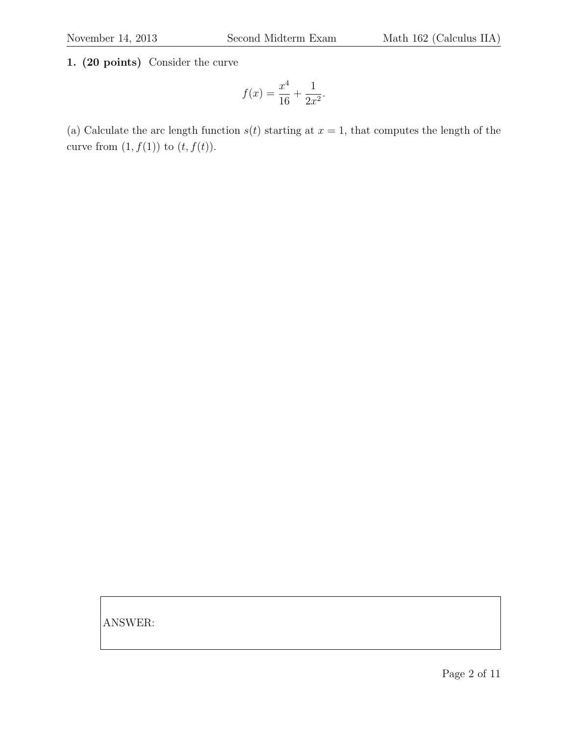1. (20 points) Consider the curve

$$
f(x) = \frac{x^4}{16} + \frac{1}{2x^2}.
$$

(a) Calculate the arc length function  $s(t)$  starting at  $x = 1$ , that computes the length of the curve from  $(1, f(1))$  to  $(t, f(t))$ .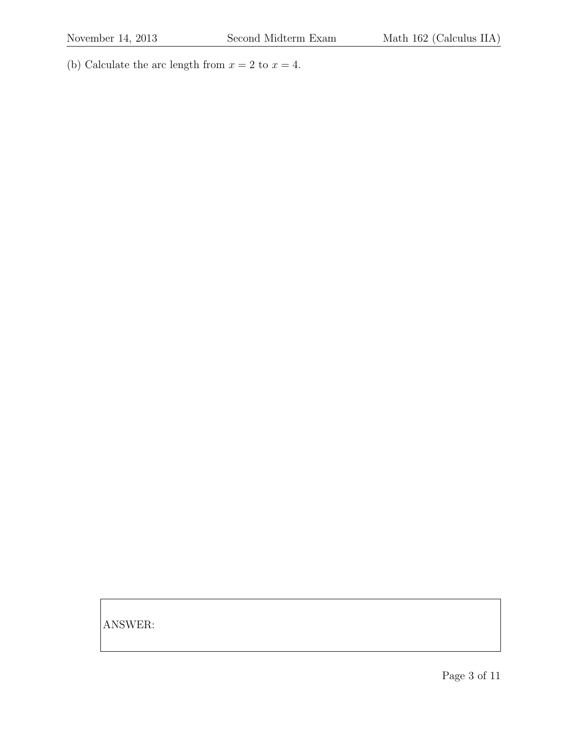(b) Calculate the arc length from  $x = 2$  to  $x = 4$ .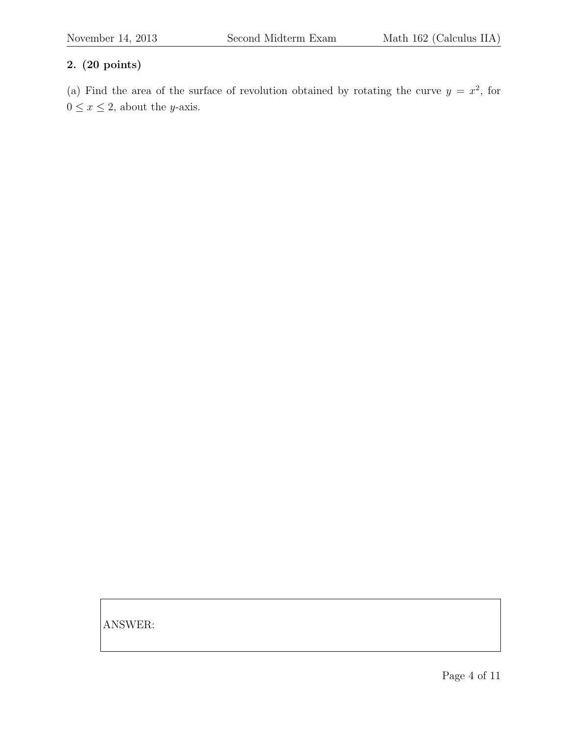## 2. (20 points)

(a) Find the area of the surface of revolution obtained by rotating the curve  $y = x^2$ , for  $0\leq x\leq 2,$  about the  $y\textrm{-axis}.$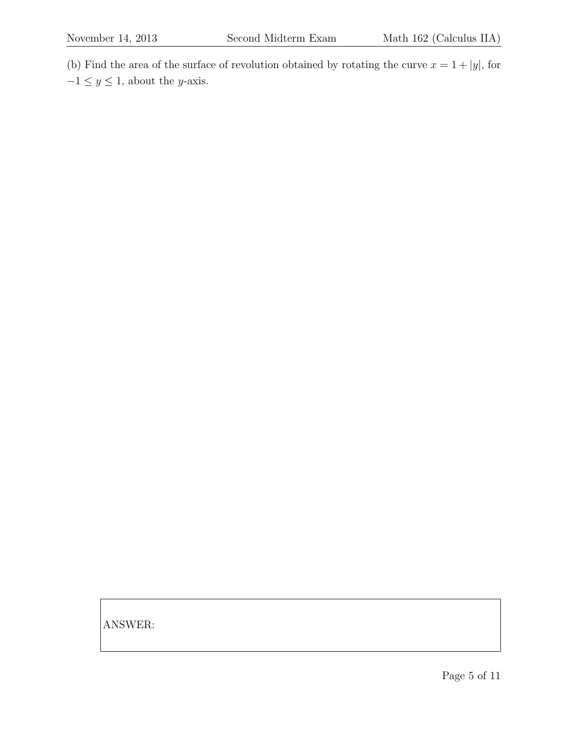(b) Find the area of the surface of revolution obtained by rotating the curve  $x = 1 + |y|$ , for  $-1\leq y\leq 1,$  about the  $y\textrm{-axis}.$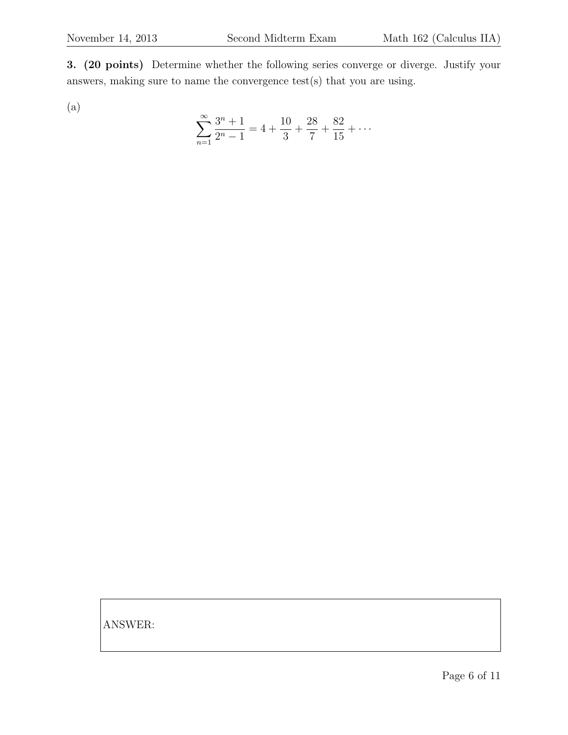3. (20 points) Determine whether the following series converge or diverge. Justify your answers, making sure to name the convergence test(s) that you are using.

(a)

$$
\sum_{n=1}^{\infty} \frac{3^n + 1}{2^n - 1} = 4 + \frac{10}{3} + \frac{28}{7} + \frac{82}{15} + \dots
$$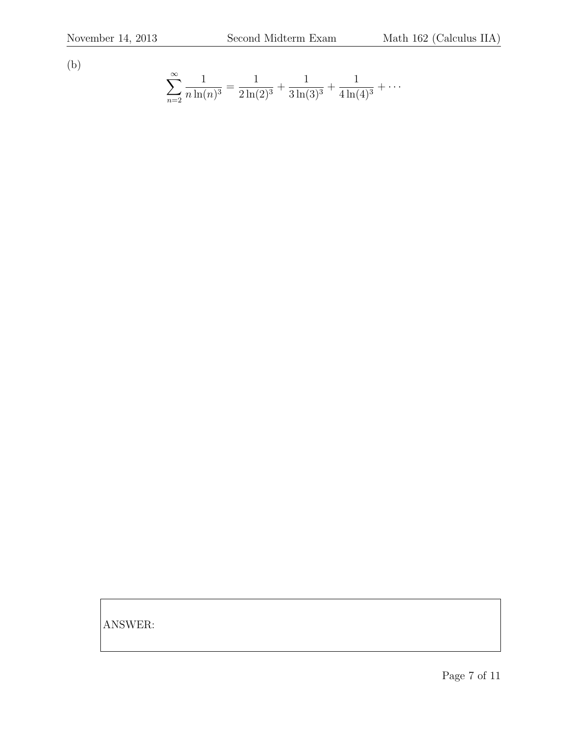(b)

$$
\sum_{n=2}^{\infty} \frac{1}{n \ln(n)^3} = \frac{1}{2 \ln(2)^3} + \frac{1}{3 \ln(3)^3} + \frac{1}{4 \ln(4)^3} + \cdots
$$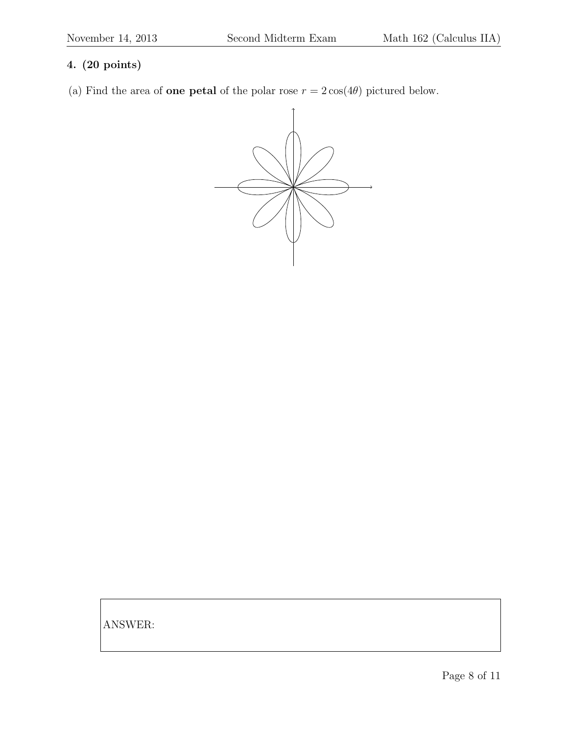## 4. (20 points)

(a) Find the area of **one petal** of the polar rose  $r = 2 \cos(4\theta)$  pictured below.

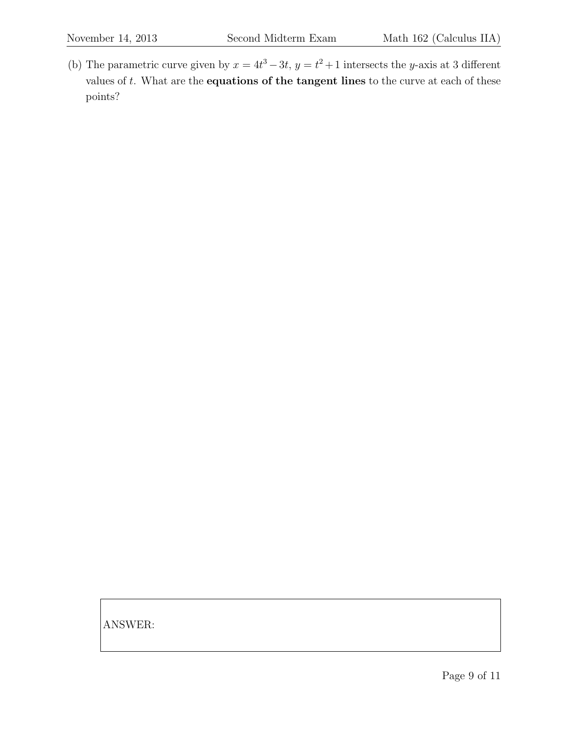(b) The parametric curve given by  $x = 4t^3 - 3t$ ,  $y = t^2 + 1$  intersects the y-axis at 3 different values of  $t$ . What are the **equations of the tangent lines** to the curve at each of these points?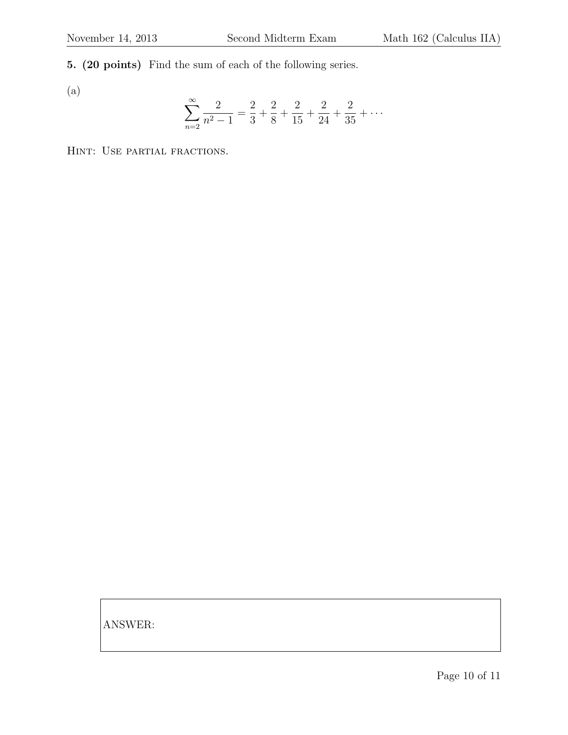5. (20 points) Find the sum of each of the following series.

(a)

$$
\sum_{n=2}^{\infty} \frac{2}{n^2 - 1} = \frac{2}{3} + \frac{2}{8} + \frac{2}{15} + \frac{2}{24} + \frac{2}{35} + \dots
$$

Hint: Use partial fractions.